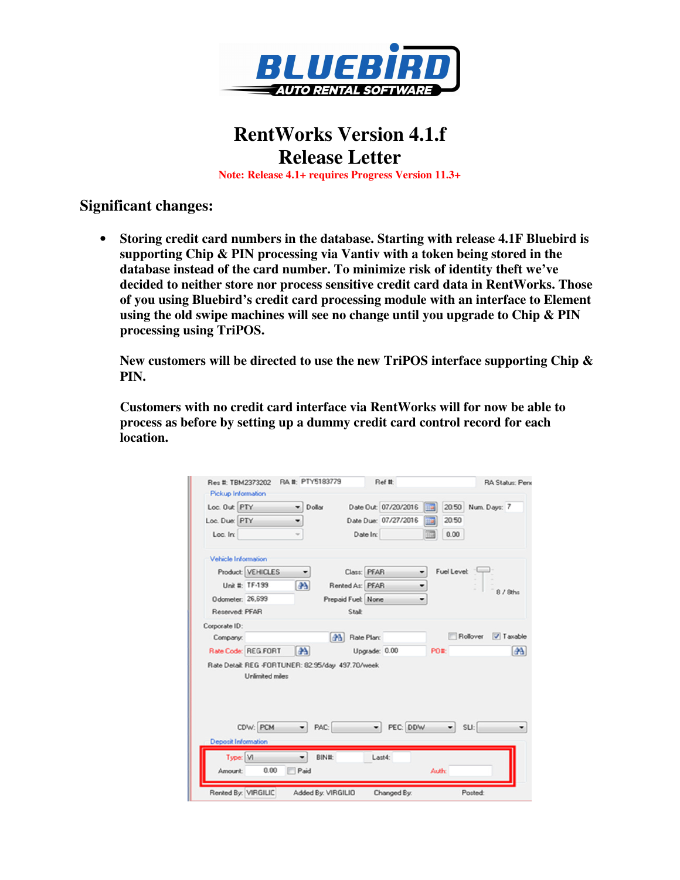

## **RentWorks Version 4.1.f Release Letter**

**Note: Release 4.1+ requires Progress Version 11.3+** 

## **Significant changes:**

• **Storing credit card numbers in the database. Starting with release 4.1F Bluebird is supporting Chip & PIN processing via Vantiv with a token being stored in the database instead of the card number. To minimize risk of identity theft we've decided to neither store nor process sensitive credit card data in RentWorks. Those of you using Bluebird's credit card processing module with an interface to Element using the old swipe machines will see no change until you upgrade to Chip & PIN processing using TriPOS.**

**New customers will be directed to use the new TriPOS interface supporting Chip & PIN.**

**Customers with no credit card interface via RentWorks will for now be able to process as before by setting up a dummy credit card control record for each location.**

|                                                    | Loc. Out PTY           | Dollar       |                     | Date Out: 07/20/2016 | EIS.               | 20.50 Num. Days: 7    |
|----------------------------------------------------|------------------------|--------------|---------------------|----------------------|--------------------|-----------------------|
| Loc. Due: PTY                                      |                        | ۰            |                     | Date Due: 07/27/2016 | 20.50<br>113       |                       |
| Loc. In:                                           |                        |              |                     | Date In:             | 0.00<br>霊          |                       |
| Vehicle Information                                |                        |              |                     |                      |                    |                       |
|                                                    | Product: VEHICLES      | ۰            |                     | Class: PFAR          | <b>Fuel Level:</b> |                       |
|                                                    | Unit #: TF-199         | as.          | Rented As: PFAR     |                      |                    | 8 / 8ths              |
| Odometer: 26,699                                   |                        |              | Prepaid Fuel: None  |                      |                    |                       |
| Reserved PFAR                                      |                        |              | Stalk               |                      |                    |                       |
| Corporate ID:                                      |                        |              |                     |                      |                    |                       |
| Company:                                           |                        |              | <b>A Rate Plan:</b> |                      |                    | V Taxable<br>Rollover |
|                                                    | Rate Code: REG.FORT    | $\mathbf{A}$ |                     | Upgrade: 0.00        | PO#:               | 44                    |
| Rate Detail: REG -FORTUNER: 82.95/day 497.70/week. |                        |              |                     |                      |                    |                       |
|                                                    | <b>Unlimited miles</b> |              |                     |                      |                    |                       |
|                                                    | CDW: PCM               | PAC:         |                     | PEC: DDW<br>۰        | ۰                  | SLI:                  |
| <b>Deposit Information</b><br>Type: M              |                        |              |                     |                      |                    |                       |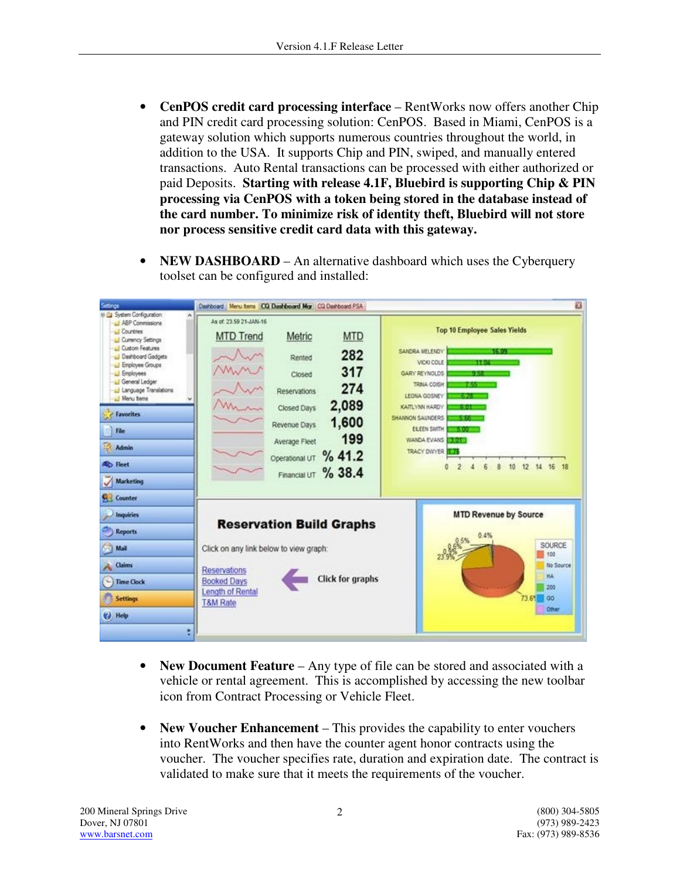- **CenPOS credit card processing interface** RentWorks now offers another Chip and PIN credit card processing solution: CenPOS. Based in Miami, CenPOS is a gateway solution which supports numerous countries throughout the world, in addition to the USA. It supports Chip and PIN, swiped, and manually entered transactions. Auto Rental transactions can be processed with either authorized or paid Deposits. **Starting with release 4.1F, Bluebird is supporting Chip & PIN processing via CenPOS with a token being stored in the database instead of the card number. To minimize risk of identity theft, Bluebird will not store nor process sensitive credit card data with this gateway.**
- **NEW DASHBOARD** An alternative dashboard which uses the Cyberquery toolset can be configured and installed:



- **New Document Feature** Any type of file can be stored and associated with a vehicle or rental agreement. This is accomplished by accessing the new toolbar icon from Contract Processing or Vehicle Fleet.
- **New Voucher Enhancement** This provides the capability to enter vouchers into RentWorks and then have the counter agent honor contracts using the voucher. The voucher specifies rate, duration and expiration date. The contract is validated to make sure that it meets the requirements of the voucher.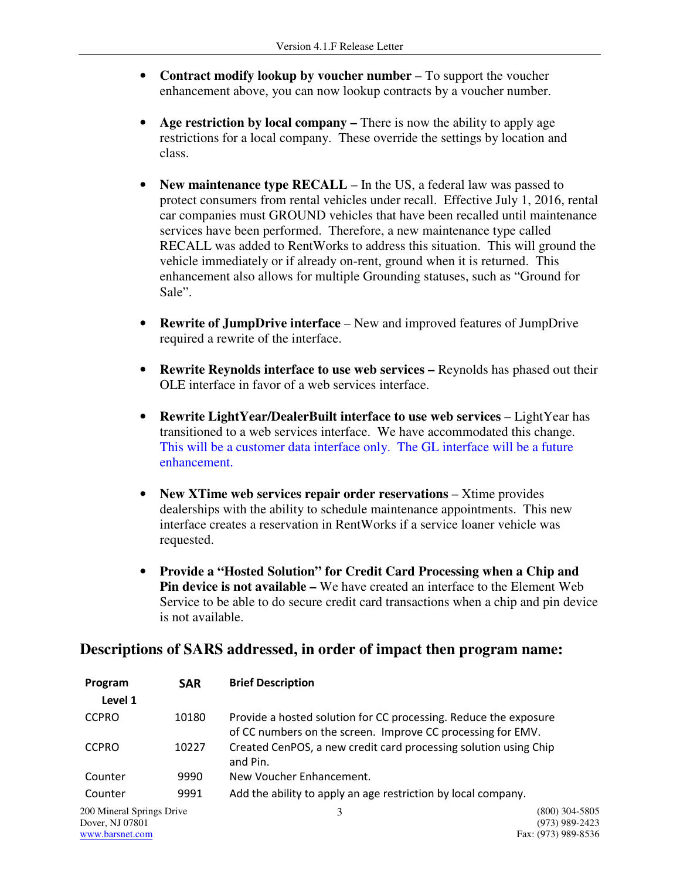- **Contract modify lookup by voucher number** To support the voucher enhancement above, you can now lookup contracts by a voucher number.
- **Age restriction by local company** There is now the ability to apply age restrictions for a local company. These override the settings by location and class.
- **New maintenance type RECALL** In the US, a federal law was passed to protect consumers from rental vehicles under recall. Effective July 1, 2016, rental car companies must GROUND vehicles that have been recalled until maintenance services have been performed. Therefore, a new maintenance type called RECALL was added to RentWorks to address this situation. This will ground the vehicle immediately or if already on-rent, ground when it is returned. This enhancement also allows for multiple Grounding statuses, such as "Ground for Sale".
- **Rewrite of JumpDrive interface**  New and improved features of JumpDrive required a rewrite of the interface.
- **Rewrite Reynolds interface to use web services –** Reynolds has phased out their OLE interface in favor of a web services interface.
- **Rewrite LightYear/DealerBuilt interface to use web services LightYear has** transitioned to a web services interface. We have accommodated this change. This will be a customer data interface only. The GL interface will be a future enhancement.
- New XTime web services repair order reservations Xtime provides dealerships with the ability to schedule maintenance appointments. This new interface creates a reservation in RentWorks if a service loaner vehicle was requested.
- **Provide a "Hosted Solution" for Credit Card Processing when a Chip and Pin device is not available –** We have created an interface to the Element Web Service to be able to do secure credit card transactions when a chip and pin device is not available.

## **Descriptions of SARS addressed, in order of impact then program name:**

| Program                   | <b>SAR</b> | <b>Brief Description</b>                                                                                                        |                     |
|---------------------------|------------|---------------------------------------------------------------------------------------------------------------------------------|---------------------|
| Level 1                   |            |                                                                                                                                 |                     |
| <b>CCPRO</b>              | 10180      | Provide a hosted solution for CC processing. Reduce the exposure<br>of CC numbers on the screen. Improve CC processing for EMV. |                     |
| <b>CCPRO</b>              | 10227      | Created CenPOS, a new credit card processing solution using Chip<br>and Pin.                                                    |                     |
| Counter                   | 9990       | New Voucher Enhancement.                                                                                                        |                     |
| Counter                   | 9991       | Add the ability to apply an age restriction by local company.                                                                   |                     |
| 200 Mineral Springs Drive |            | 3                                                                                                                               | $(800)$ 304-5805    |
| Dover, NJ 07801           |            |                                                                                                                                 | (973) 989-2423      |
| www.barsnet.com           |            |                                                                                                                                 | Fax: (973) 989-8536 |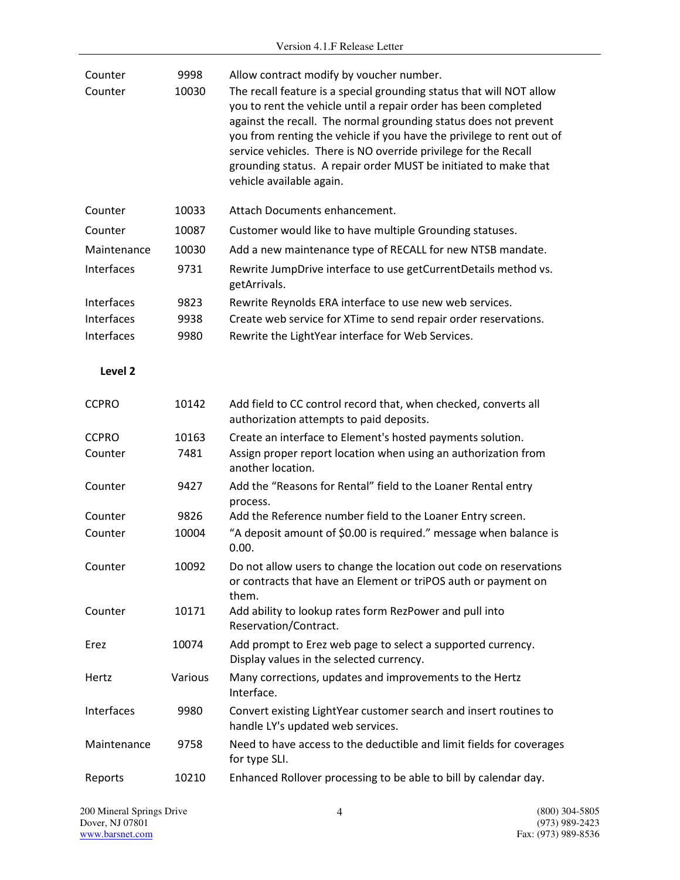| Counter<br>Counter | 9998<br>10030 | Allow contract modify by voucher number.<br>The recall feature is a special grounding status that will NOT allow<br>you to rent the vehicle until a repair order has been completed<br>against the recall. The normal grounding status does not prevent<br>you from renting the vehicle if you have the privilege to rent out of<br>service vehicles. There is NO override privilege for the Recall<br>grounding status. A repair order MUST be initiated to make that<br>vehicle available again. |
|--------------------|---------------|----------------------------------------------------------------------------------------------------------------------------------------------------------------------------------------------------------------------------------------------------------------------------------------------------------------------------------------------------------------------------------------------------------------------------------------------------------------------------------------------------|
| Counter            | 10033         | Attach Documents enhancement.                                                                                                                                                                                                                                                                                                                                                                                                                                                                      |
| Counter            | 10087         | Customer would like to have multiple Grounding statuses.                                                                                                                                                                                                                                                                                                                                                                                                                                           |
| Maintenance        | 10030         | Add a new maintenance type of RECALL for new NTSB mandate.                                                                                                                                                                                                                                                                                                                                                                                                                                         |
| Interfaces         | 9731          | Rewrite JumpDrive interface to use getCurrentDetails method vs.<br>getArrivals.                                                                                                                                                                                                                                                                                                                                                                                                                    |
| Interfaces         | 9823          | Rewrite Reynolds ERA interface to use new web services.                                                                                                                                                                                                                                                                                                                                                                                                                                            |
| Interfaces         | 9938          | Create web service for XTime to send repair order reservations.                                                                                                                                                                                                                                                                                                                                                                                                                                    |
| Interfaces         | 9980          | Rewrite the LightYear interface for Web Services.                                                                                                                                                                                                                                                                                                                                                                                                                                                  |
| Level 2            |               |                                                                                                                                                                                                                                                                                                                                                                                                                                                                                                    |
| <b>CCPRO</b>       | 10142         | Add field to CC control record that, when checked, converts all<br>authorization attempts to paid deposits.                                                                                                                                                                                                                                                                                                                                                                                        |
| <b>CCPRO</b>       | 10163         | Create an interface to Element's hosted payments solution.                                                                                                                                                                                                                                                                                                                                                                                                                                         |
| Counter            | 7481          | Assign proper report location when using an authorization from<br>another location.                                                                                                                                                                                                                                                                                                                                                                                                                |
| Counter            | 9427          | Add the "Reasons for Rental" field to the Loaner Rental entry<br>process.                                                                                                                                                                                                                                                                                                                                                                                                                          |
| Counter            | 9826          | Add the Reference number field to the Loaner Entry screen.                                                                                                                                                                                                                                                                                                                                                                                                                                         |
| Counter            | 10004         | "A deposit amount of \$0.00 is required." message when balance is<br>0.00.                                                                                                                                                                                                                                                                                                                                                                                                                         |
| Counter            | 10092         | Do not allow users to change the location out code on reservations<br>or contracts that have an Element or triPOS auth or payment on<br>them.                                                                                                                                                                                                                                                                                                                                                      |
| Counter            | 10171         | Add ability to lookup rates form RezPower and pull into<br>Reservation/Contract.                                                                                                                                                                                                                                                                                                                                                                                                                   |
| Erez               | 10074         | Add prompt to Erez web page to select a supported currency.<br>Display values in the selected currency.                                                                                                                                                                                                                                                                                                                                                                                            |
| Hertz              | Various       | Many corrections, updates and improvements to the Hertz<br>Interface.                                                                                                                                                                                                                                                                                                                                                                                                                              |
| Interfaces         | 9980          | Convert existing LightYear customer search and insert routines to<br>handle LY's updated web services.                                                                                                                                                                                                                                                                                                                                                                                             |
| Maintenance        | 9758          | Need to have access to the deductible and limit fields for coverages<br>for type SLI.                                                                                                                                                                                                                                                                                                                                                                                                              |
| Reports            | 10210         | Enhanced Rollover processing to be able to bill by calendar day.                                                                                                                                                                                                                                                                                                                                                                                                                                   |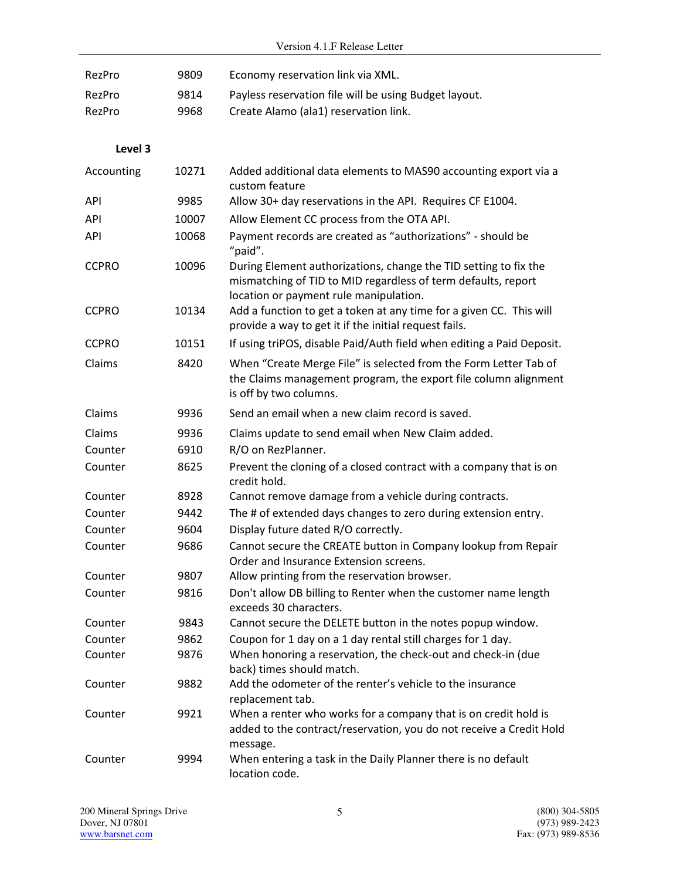| RezPro       | 9809  | Economy reservation link via XML.                                                                                                                                           |
|--------------|-------|-----------------------------------------------------------------------------------------------------------------------------------------------------------------------------|
| RezPro       | 9814  | Payless reservation file will be using Budget layout.                                                                                                                       |
| RezPro       | 9968  | Create Alamo (ala1) reservation link.                                                                                                                                       |
|              |       |                                                                                                                                                                             |
| Level 3      |       |                                                                                                                                                                             |
| Accounting   | 10271 | Added additional data elements to MAS90 accounting export via a<br>custom feature                                                                                           |
| API          | 9985  | Allow 30+ day reservations in the API. Requires CF E1004.                                                                                                                   |
| <b>API</b>   | 10007 | Allow Element CC process from the OTA API.                                                                                                                                  |
| API          | 10068 | Payment records are created as "authorizations" - should be<br>"paid".                                                                                                      |
| <b>CCPRO</b> | 10096 | During Element authorizations, change the TID setting to fix the<br>mismatching of TID to MID regardless of term defaults, report<br>location or payment rule manipulation. |
| <b>CCPRO</b> | 10134 | Add a function to get a token at any time for a given CC. This will<br>provide a way to get it if the initial request fails.                                                |
| <b>CCPRO</b> | 10151 | If using triPOS, disable Paid/Auth field when editing a Paid Deposit.                                                                                                       |
| Claims       | 8420  | When "Create Merge File" is selected from the Form Letter Tab of<br>the Claims management program, the export file column alignment<br>is off by two columns.               |
| Claims       | 9936  | Send an email when a new claim record is saved.                                                                                                                             |
| Claims       | 9936  | Claims update to send email when New Claim added.                                                                                                                           |
| Counter      | 6910  | R/O on RezPlanner.                                                                                                                                                          |
| Counter      | 8625  | Prevent the cloning of a closed contract with a company that is on<br>credit hold.                                                                                          |
| Counter      | 8928  | Cannot remove damage from a vehicle during contracts.                                                                                                                       |
| Counter      | 9442  | The # of extended days changes to zero during extension entry.                                                                                                              |
| Counter      | 9604  | Display future dated R/O correctly.                                                                                                                                         |
| Counter      | 9686  | Cannot secure the CREATE button in Company lookup from Repair<br>Order and Insurance Extension screens.                                                                     |
| Counter      | 9807  | Allow printing from the reservation browser.                                                                                                                                |
| Counter      | 9816  | Don't allow DB billing to Renter when the customer name length<br>exceeds 30 characters.                                                                                    |
| Counter      | 9843  | Cannot secure the DELETE button in the notes popup window.                                                                                                                  |
| Counter      | 9862  | Coupon for 1 day on a 1 day rental still charges for 1 day.                                                                                                                 |
| Counter      | 9876  | When honoring a reservation, the check-out and check-in (due<br>back) times should match.                                                                                   |
| Counter      | 9882  | Add the odometer of the renter's vehicle to the insurance<br>replacement tab.                                                                                               |
| Counter      | 9921  | When a renter who works for a company that is on credit hold is<br>added to the contract/reservation, you do not receive a Credit Hold<br>message.                          |
| Counter      | 9994  | When entering a task in the Daily Planner there is no default<br>location code.                                                                                             |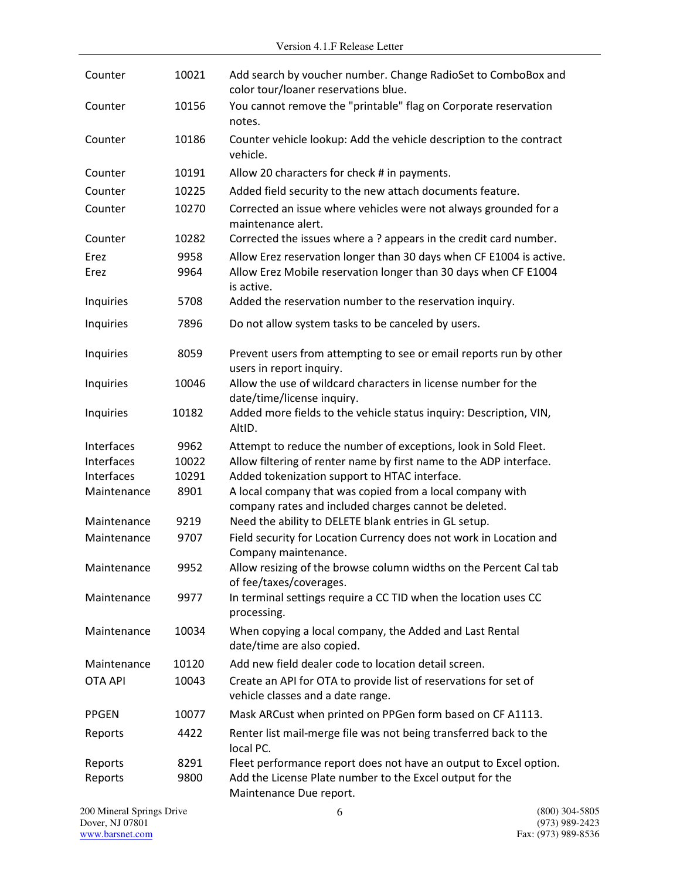| Counter        | 10021 | Add search by voucher number. Change RadioSet to ComboBox and<br>color tour/loaner reservations blue.              |
|----------------|-------|--------------------------------------------------------------------------------------------------------------------|
| Counter        | 10156 | You cannot remove the "printable" flag on Corporate reservation<br>notes.                                          |
| Counter        | 10186 | Counter vehicle lookup: Add the vehicle description to the contract<br>vehicle.                                    |
| Counter        | 10191 | Allow 20 characters for check # in payments.                                                                       |
| Counter        | 10225 | Added field security to the new attach documents feature.                                                          |
| Counter        | 10270 | Corrected an issue where vehicles were not always grounded for a<br>maintenance alert.                             |
| Counter        | 10282 | Corrected the issues where a ? appears in the credit card number.                                                  |
| Erez           | 9958  | Allow Erez reservation longer than 30 days when CF E1004 is active.                                                |
| Erez           | 9964  | Allow Erez Mobile reservation longer than 30 days when CF E1004<br>is active.                                      |
| Inquiries      | 5708  | Added the reservation number to the reservation inquiry.                                                           |
| Inquiries      | 7896  | Do not allow system tasks to be canceled by users.                                                                 |
| Inquiries      | 8059  | Prevent users from attempting to see or email reports run by other<br>users in report inquiry.                     |
| Inquiries      | 10046 | Allow the use of wildcard characters in license number for the<br>date/time/license inquiry.                       |
| Inquiries      | 10182 | Added more fields to the vehicle status inquiry: Description, VIN,<br>AltID.                                       |
| Interfaces     | 9962  | Attempt to reduce the number of exceptions, look in Sold Fleet.                                                    |
| Interfaces     | 10022 | Allow filtering of renter name by first name to the ADP interface.                                                 |
| Interfaces     | 10291 | Added tokenization support to HTAC interface.                                                                      |
| Maintenance    | 8901  | A local company that was copied from a local company with<br>company rates and included charges cannot be deleted. |
| Maintenance    | 9219  | Need the ability to DELETE blank entries in GL setup.                                                              |
| Maintenance    | 9707  | Field security for Location Currency does not work in Location and<br>Company maintenance.                         |
| Maintenance    | 9952  | Allow resizing of the browse column widths on the Percent Cal tab<br>of fee/taxes/coverages.                       |
| Maintenance    | 9977  | In terminal settings require a CC TID when the location uses CC<br>processing.                                     |
| Maintenance    | 10034 | When copying a local company, the Added and Last Rental<br>date/time are also copied.                              |
| Maintenance    | 10120 | Add new field dealer code to location detail screen.                                                               |
| <b>OTA API</b> | 10043 | Create an API for OTA to provide list of reservations for set of<br>vehicle classes and a date range.              |
| <b>PPGEN</b>   | 10077 | Mask ARCust when printed on PPGen form based on CF A1113.                                                          |
| Reports        | 4422  | Renter list mail-merge file was not being transferred back to the<br>local PC.                                     |
| Reports        | 8291  | Fleet performance report does not have an output to Excel option.                                                  |
| Reports        | 9800  | Add the License Plate number to the Excel output for the<br>Maintenance Due report.                                |